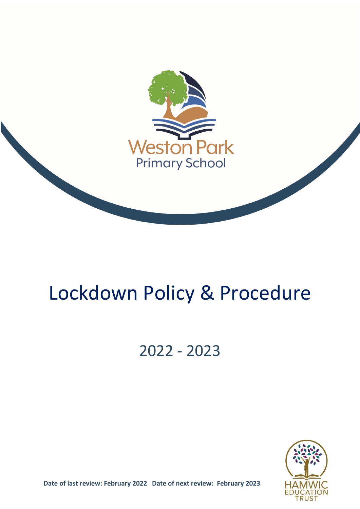

# Lockdown Policy & Procedure

# 2022 - 2023



**Date of last review: February 2022 Date of next review: February 2023**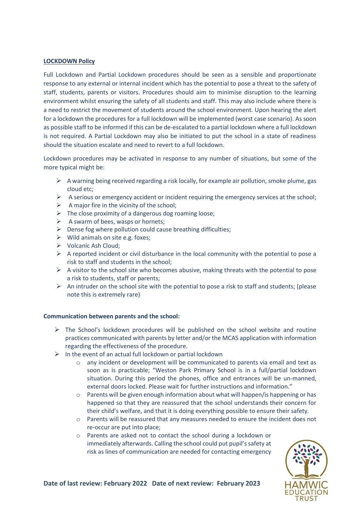## **LOCKDOWN Policy**

Full Lockdown and Partial Lockdown procedures should be seen as a sensible and proportionate response to any external or internal incident which has the potential to pose a threat to the safety of staff, students, parents or visitors. Procedures should aim to minimise disruption to the learning environment whilst ensuring the safety of all students and staff. This may also include where there is a need to restrict the movement of students around the school environment. Upon hearing the alert for a lockdown the procedures for a full lockdown will be implemented (worst case scenario). As soon as possible staff to be informed if this can be de-escalated to a partial lockdown where a full lockdown is not required. A Partial Lockdown may also be initiated to put the school in a state of readiness should the situation escalate and need to revert to a full lockdown.

Lockdown procedures may be activated in response to any number of situations, but some of the more typical might be:

- $\triangleright$  A warning being received regarding a risk locally, for example air pollution, smoke plume, gas cloud etc;
- $\triangleright$  A serious or emergency accident or incident requiring the emergency services at the school;
- $\triangleright$  A major fire in the vicinity of the school;
- $\triangleright$  The close proximity of a dangerous dog roaming loose;
- $\triangleright$  A swarm of bees, wasps or hornets;
- $\triangleright$  Dense fog where pollution could cause breathing difficulties:
- $\triangleright$  Wild animals on site e.g. foxes;
- $\triangleright$  Volcanic Ash Cloud;
- $\triangleright$  A reported incident or civil disturbance in the local community with the potential to pose a risk to staff and students in the school;
- $\triangleright$  A visitor to the school site who becomes abusive, making threats with the potential to pose a risk to students, staff or parents;
- $\triangleright$  An intruder on the school site with the potential to pose a risk to staff and students; (please note this is extremely rare)

#### **Communication between parents and the school:**

- $\triangleright$  The School's lockdown procedures will be published on the school website and routine practices communicated with parents by letter and/or the MCAS application with information regarding the effectiveness of the procedure.
- $\triangleright$  In the event of an actual full lockdown or partial lockdown
	- $\circ$  any incident or development will be communicated to parents via email and text as soon as is practicable; "Weston Park Primary School is in a full/partial lockdown situation. During this period the phones, office and entrances will be un-manned, external doors locked. Please wait for further instructions and information."
	- $\circ$  Parents will be given enough information about what will happen/is happening or has happened so that they are reassured that the school understands their concern for their child's welfare, and that it is doing everything possible to ensure their safety.
	- o Parents will be reassured that any measures needed to ensure the incident does not re-occur are put into place;
	- o Parents are asked not to contact the school during a lockdown or immediately afterwards. Calling the school could put pupil's safety at risk as lines of communication are needed for contacting emergency

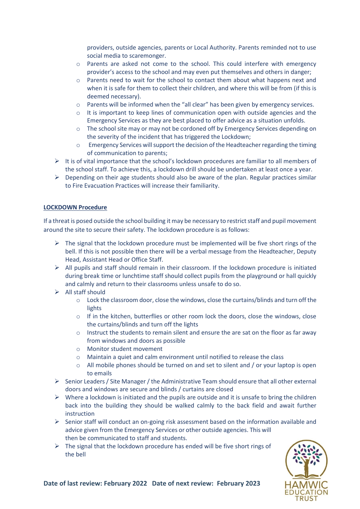providers, outside agencies, parents or Local Authority. Parents reminded not to use social media to scaremonger.

- o Parents are asked not come to the school. This could interfere with emergency provider's access to the school and may even put themselves and others in danger;
- o Parents need to wait for the school to contact them about what happens next and when it is safe for them to collect their children, and where this will be from (if this is deemed necessary).
- $\circ$  Parents will be informed when the "all clear" has been given by emergency services.
- $\circ$  It is important to keep lines of communication open with outside agencies and the Emergency Services as they are best placed to offer advice as a situation unfolds.
- o The school site may or may not be cordoned off by Emergency Services depending on the severity of the incident that has triggered the Lockdown;
- o Emergency Services will support the decision of the Headteacher regarding the timing of communication to parents;
- $\triangleright$  It is of vital importance that the school's lockdown procedures are familiar to all members of the school staff. To achieve this, a lockdown drill should be undertaken at least once a year.
- $\triangleright$  Depending on their age students should also be aware of the plan. Regular practices similar to Fire Evacuation Practices will increase their familiarity.

#### **LOCKDOWN Procedure**

If a threat is posed outside the school building it may be necessary to restrict staff and pupil movement around the site to secure their safety. The lockdown procedure is as follows:

- $\triangleright$  The signal that the lockdown procedure must be implemented will be five short rings of the bell. If this is not possible then there will be a verbal message from the Headteacher, Deputy Head, Assistant Head or Office Staff.
- $\triangleright$  All pupils and staff should remain in their classroom. If the lockdown procedure is initiated during break time or lunchtime staff should collect pupils from the playground or hall quickly and calmly and return to their classrooms unless unsafe to do so.
- $\triangleright$  All staff should
	- o Lock the classroom door, close the windows, close the curtains/blinds and turn off the lights
	- o If in the kitchen, butterflies or other room lock the doors, close the windows, close the curtains/blinds and turn off the lights
	- o Instruct the students to remain silent and ensure the are sat on the floor as far away from windows and doors as possible
	- o Monitor student movement
	- o Maintain a quiet and calm environment until notified to release the class
	- $\circ$  All mobile phones should be turned on and set to silent and / or your laptop is open to emails
- $\triangleright$  Senior Leaders / Site Manager / the Administrative Team should ensure that all other external doors and windows are secure and blinds / curtains are closed
- $\triangleright$  Where a lockdown is initiated and the pupils are outside and it is unsafe to bring the children back into the building they should be walked calmly to the back field and await further instruction
- $\triangleright$  Senior staff will conduct an on-going risk assessment based on the information available and advice given from the Emergency Services or other outside agencies. This will then be communicated to staff and students.
- $\triangleright$  The signal that the lockdown procedure has ended will be five short rings of the bell

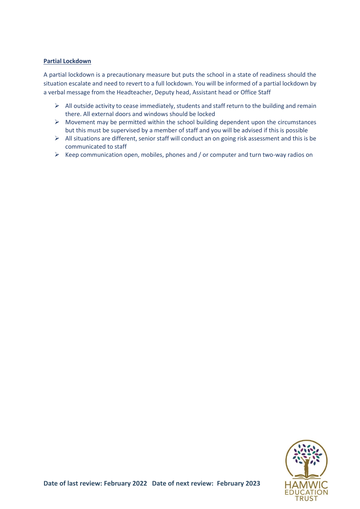## **Partial Lockdown**

A partial lockdown is a precautionary measure but puts the school in a state of readiness should the situation escalate and need to revert to a full lockdown. You will be informed of a partial lockdown by a verbal message from the Headteacher, Deputy head, Assistant head or Office Staff

- $\triangleright$  All outside activity to cease immediately, students and staff return to the building and remain there. All external doors and windows should be locked
- $\triangleright$  Movement may be permitted within the school building dependent upon the circumstances but this must be supervised by a member of staff and you will be advised if this is possible
- $\triangleright$  All situations are different, senior staff will conduct an on going risk assessment and this is be communicated to staff
- $\triangleright$  Keep communication open, mobiles, phones and / or computer and turn two-way radios on